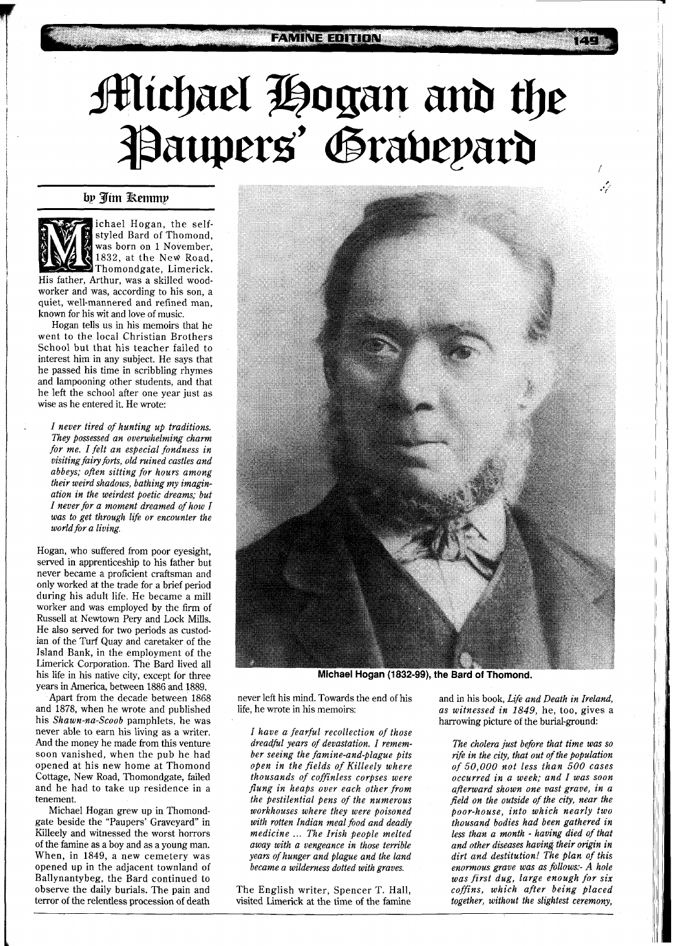## **FAMINE EDITION**

## **Michael Hogan and the<br>Paupers' Grabepard**

by Jim Remmy



ichael Hogan, the selfstyled Bard of Thomond, was born on 1 November, 1832, at the New Road, Thomondgate, Limerick.

His father, Arthur, was a skilled woodworker and was, according to his son, a quiet, well-mannered and refined man, known for his wit and love of music.

Hogan tells us in his memoirs that he went to the local Christian Brothers School but that his teacher failed to interest him in any subject. He says that he passed his time in scribbling rhymes and lampooning other students, and that he left the school after one year just as wise as he entered it. He wrote:

*I never tired of hunting up traditions. They possessed an overwhelming charm for me. I felt an especial fondness in visiting fairy forts, old mined castles and abbeys; often sitting for hours among their weird shadows, bathing my imagination in the weirdest poetic dreams; but I never for a moment dreamed of how I was to get through life or encounter the world for a living.* 

Hogan, who suffered from poor eyesight, served in apprenticeship to his father but never became a proficient craftsman and only worked at the trade for a brief period during his adult life. He became a mill worker and was employed by the firm of Russell at Newtown Pery and Lock Mills. He also served for two periods as custodian of the Turf Quay and caretaker of the Island Bank, in the employment of the Limerick Corporation. The Bard lived all his life in his native city, except for three years in America, between 1886 and 1889.

Apart from the decade between 1868 and 1878, when he wrote and published his *Shawn-nu-Scoob* pamphlets, he was never able to earn his living as a writer. And the money he made from this venture soon vanished, when the pub he had opened at his new home at Thomond Cottage, New Road, Thomondgate, failed and he had to take up residence in a tenement.

Michael Hogan grew up in Thomondgate beside the "Paupers' Graveyard" in Killeely and witnessed the worst horrors of the famine as a boy and as a young man. When, in 1849, a new cemetery was opened up in the adjacent townland of Ballynantybeg, the Bard continued to observe the daily burials. The pain and terror of the relentless procession of death



Michael Hogan (1832-99), the Bard of Thomond.

never left his mind. Towards the end of his life, he wrote in his memoirs:

*I have a fearful recollection of those dreadfil years of devastation. I remember seeing the famine-and-plague pits open in the fields of Killeely where thousands of coffinless corpses were flung in heaps over each other from the pestilential \$ens of the numerous workhouses where they were poisoned with rotten Indian meal food and deadly medicine* ... *The Irish people melted away with a vengeance in those terrible years of hunger and plague and the land became a wilderness dotted with graves.* 

The English writer, Spencer T. Hall, visited Limerick at the time of the famine

and in his book, *Life and Death in Ireland*, *as witnessed in 1849,* he, too, gives a harrowing picture of the burial-ground:

*The cholera just before that time was so*  rife in the city, that out of the population *of 50,000 not less than 500 cases occurred in a week; and I was soon afterward shown one vast grave, in a field on the outside of the city, near the poor-house, into which nearly two thousand bodies had been gathered in less than a month* - *having died of that and other diseases having their origin in dirt and destitution! The plan of this enormous grave was as follows:- A hole was first dug, large enough for six coffins, which after being placed together, without the slightest ceremony,*